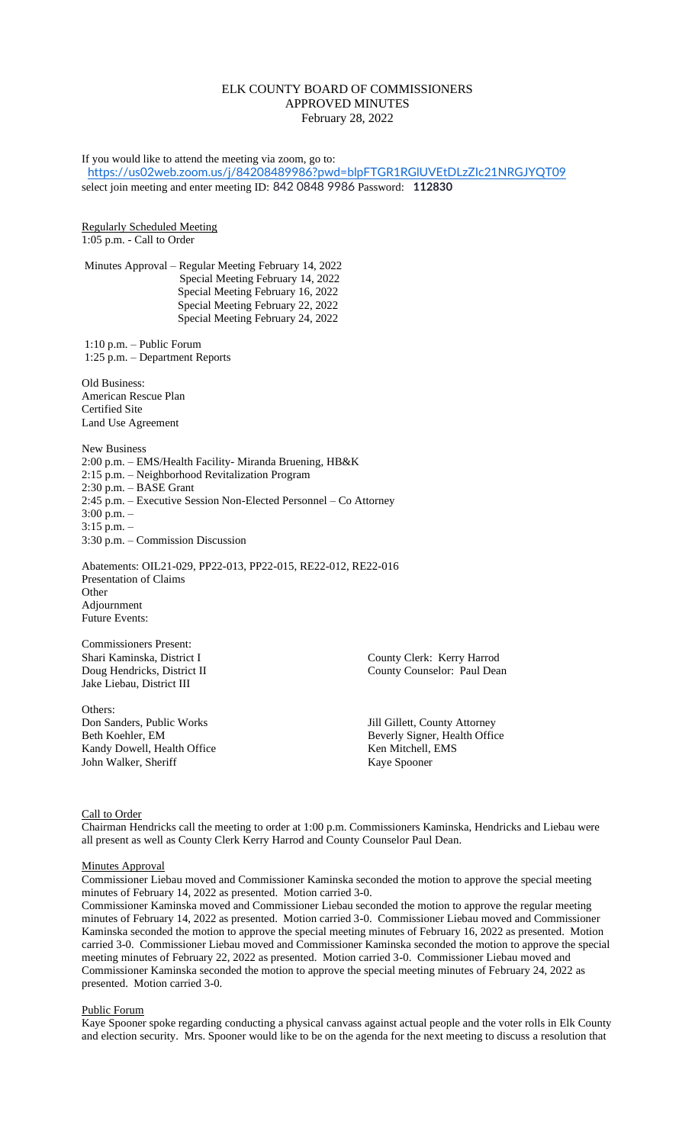# ELK COUNTY BOARD OF COMMISSIONERS APPROVED MINUTES February 28, 2022

If you would like to attend the meeting via zoom, go to: <https://us02web.zoom.us/j/84208489986?pwd=blpFTGR1RGlUVEtDLzZIc21NRGJYQT09> select join meeting and enter meeting ID: 842 0848 9986 Password: **112830** Regularly Scheduled Meeting 1:05 p.m. - Call to Order Minutes Approval – Regular Meeting February 14, 2022 Special Meeting February 14, 2022 Special Meeting February 16, 2022 Special Meeting February 22, 2022 Special Meeting February 24, 2022 1:10 p.m. – Public Forum 1:25 p.m. – Department Reports Old Business: American Rescue Plan Certified Site Land Use Agreement New Business 2:00 p.m. – EMS/Health Facility- Miranda Bruening, HB&K 2:15 p.m. – Neighborhood Revitalization Program 2:30 p.m. – BASE Grant 2:45 p.m. – Executive Session Non-Elected Personnel – Co Attorney 3:00 p.m. – 3:15 p.m. – 3:30 p.m. – Commission Discussion Abatements: OIL21-029, PP22-013, PP22-015, RE22-012, RE22-016 Presentation of Claims Other Adjournment Future Events: Commissioners Present: Shari Kaminska, District I County Clerk: Kerry Harrod Doug Hendricks, District II County Counselor: Paul Dean Jake Liebau, District III Others:<br>Don Sanders, Public Works Don Sanders, Public Works Marketter and Sull Gillett, County Attorney<br>Beth Koehler, EM Beverly Signer, Health Offic Beverly Signer, Health Office<br>Ken Mitchell, EMS Kandy Dowell, Health Office John Walker, Sheriff Kaye Spooner

Call to Order

Chairman Hendricks call the meeting to order at 1:00 p.m. Commissioners Kaminska, Hendricks and Liebau were all present as well as County Clerk Kerry Harrod and County Counselor Paul Dean.

Minutes Approval

Commissioner Liebau moved and Commissioner Kaminska seconded the motion to approve the special meeting minutes of February 14, 2022 as presented. Motion carried 3-0.

Commissioner Kaminska moved and Commissioner Liebau seconded the motion to approve the regular meeting minutes of February 14, 2022 as presented. Motion carried 3-0. Commissioner Liebau moved and Commissioner Kaminska seconded the motion to approve the special meeting minutes of February 16, 2022 as presented. Motion carried 3-0. Commissioner Liebau moved and Commissioner Kaminska seconded the motion to approve the special meeting minutes of February 22, 2022 as presented. Motion carried 3-0. Commissioner Liebau moved and Commissioner Kaminska seconded the motion to approve the special meeting minutes of February 24, 2022 as presented. Motion carried 3-0.

### Public Forum

Kaye Spooner spoke regarding conducting a physical canvass against actual people and the voter rolls in Elk County and election security. Mrs. Spooner would like to be on the agenda for the next meeting to discuss a resolution that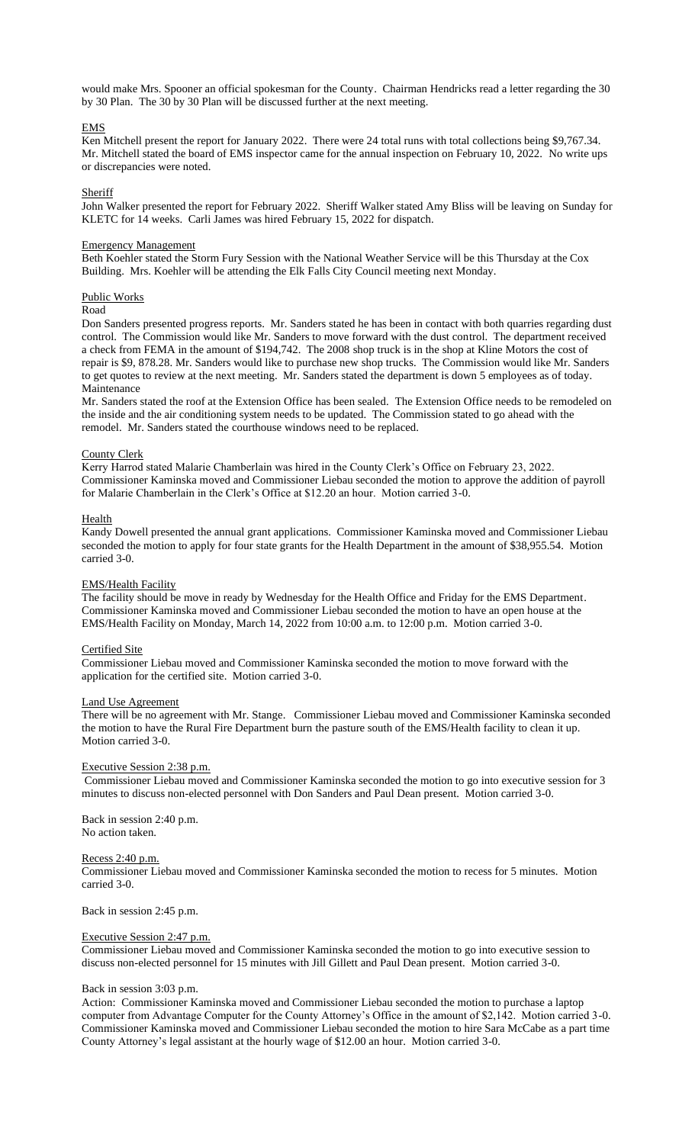would make Mrs. Spooner an official spokesman for the County. Chairman Hendricks read a letter regarding the 30 by 30 Plan. The 30 by 30 Plan will be discussed further at the next meeting.

## EMS

Ken Mitchell present the report for January 2022. There were 24 total runs with total collections being \$9,767.34. Mr. Mitchell stated the board of EMS inspector came for the annual inspection on February 10, 2022. No write ups or discrepancies were noted.

### **Sheriff**

John Walker presented the report for February 2022. Sheriff Walker stated Amy Bliss will be leaving on Sunday for KLETC for 14 weeks. Carli James was hired February 15, 2022 for dispatch.

#### Emergency Management

Beth Koehler stated the Storm Fury Session with the National Weather Service will be this Thursday at the Cox Building. Mrs. Koehler will be attending the Elk Falls City Council meeting next Monday.

### Public Works

Road

Don Sanders presented progress reports. Mr. Sanders stated he has been in contact with both quarries regarding dust control. The Commission would like Mr. Sanders to move forward with the dust control. The department received a check from FEMA in the amount of \$194,742. The 2008 shop truck is in the shop at Kline Motors the cost of repair is \$9, 878.28. Mr. Sanders would like to purchase new shop trucks. The Commission would like Mr. Sanders to get quotes to review at the next meeting. Mr. Sanders stated the department is down 5 employees as of today. Maintenance

Mr. Sanders stated the roof at the Extension Office has been sealed. The Extension Office needs to be remodeled on the inside and the air conditioning system needs to be updated. The Commission stated to go ahead with the remodel. Mr. Sanders stated the courthouse windows need to be replaced.

### County Clerk

Kerry Harrod stated Malarie Chamberlain was hired in the County Clerk's Office on February 23, 2022. Commissioner Kaminska moved and Commissioner Liebau seconded the motion to approve the addition of payroll for Malarie Chamberlain in the Clerk's Office at \$12.20 an hour. Motion carried 3-0.

### Health

Kandy Dowell presented the annual grant applications. Commissioner Kaminska moved and Commissioner Liebau seconded the motion to apply for four state grants for the Health Department in the amount of \$38,955.54. Motion carried 3-0.

## EMS/Health Facility

The facility should be move in ready by Wednesday for the Health Office and Friday for the EMS Department. Commissioner Kaminska moved and Commissioner Liebau seconded the motion to have an open house at the EMS/Health Facility on Monday, March 14, 2022 from 10:00 a.m. to 12:00 p.m. Motion carried 3-0.

### Certified Site

Commissioner Liebau moved and Commissioner Kaminska seconded the motion to move forward with the application for the certified site. Motion carried 3-0.

#### Land Use Agreement

There will be no agreement with Mr. Stange. Commissioner Liebau moved and Commissioner Kaminska seconded the motion to have the Rural Fire Department burn the pasture south of the EMS/Health facility to clean it up. Motion carried 3-0.

### Executive Session 2:38 p.m.

Commissioner Liebau moved and Commissioner Kaminska seconded the motion to go into executive session for 3 minutes to discuss non-elected personnel with Don Sanders and Paul Dean present. Motion carried 3-0.

Back in session 2:40 p.m. No action taken.

## Recess 2:40 p.m.

Commissioner Liebau moved and Commissioner Kaminska seconded the motion to recess for 5 minutes. Motion carried 3-0.

Back in session 2:45 p.m.

### Executive Session 2:47 p.m.

Commissioner Liebau moved and Commissioner Kaminska seconded the motion to go into executive session to discuss non-elected personnel for 15 minutes with Jill Gillett and Paul Dean present. Motion carried 3-0.

### Back in session 3:03 p.m.

Action: Commissioner Kaminska moved and Commissioner Liebau seconded the motion to purchase a laptop computer from Advantage Computer for the County Attorney's Office in the amount of \$2,142. Motion carried 3-0. Commissioner Kaminska moved and Commissioner Liebau seconded the motion to hire Sara McCabe as a part time County Attorney's legal assistant at the hourly wage of \$12.00 an hour. Motion carried 3-0.